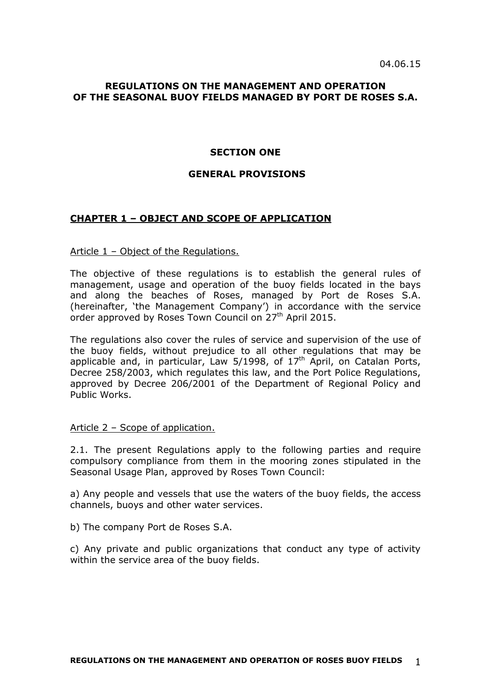## **REGULATIONS ON THE MANAGEMENT AND OPERATION OF THE SEASONAL BUOY FIELDS MANAGED BY PORT DE ROSES S.A.**

### **SECTION ONE**

### **GENERAL PROVISIONS**

# **CHAPTER 1 – OBJECT AND SCOPE OF APPLICATION**

Article 1 – Object of the Regulations.

The objective of these regulations is to establish the general rules of management, usage and operation of the buoy fields located in the bays and along the beaches of Roses, managed by Port de Roses S.A. (hereinafter, 'the Management Company') in accordance with the service order approved by Roses Town Council on  $27<sup>th</sup>$  April 2015.

The regulations also cover the rules of service and supervision of the use of the buoy fields, without prejudice to all other regulations that may be applicable and, in particular, Law 5/1998, of  $17<sup>th</sup>$  April, on Catalan Ports, Decree 258/2003, which regulates this law, and the Port Police Regulations, approved by Decree 206/2001 of the Department of Regional Policy and Public Works.

### Article 2 – Scope of application.

2.1. The present Regulations apply to the following parties and require compulsory compliance from them in the mooring zones stipulated in the Seasonal Usage Plan, approved by Roses Town Council:

a) Any people and vessels that use the waters of the buoy fields, the access channels, buoys and other water services.

b) The company Port de Roses S.A.

c) Any private and public organizations that conduct any type of activity within the service area of the buoy fields.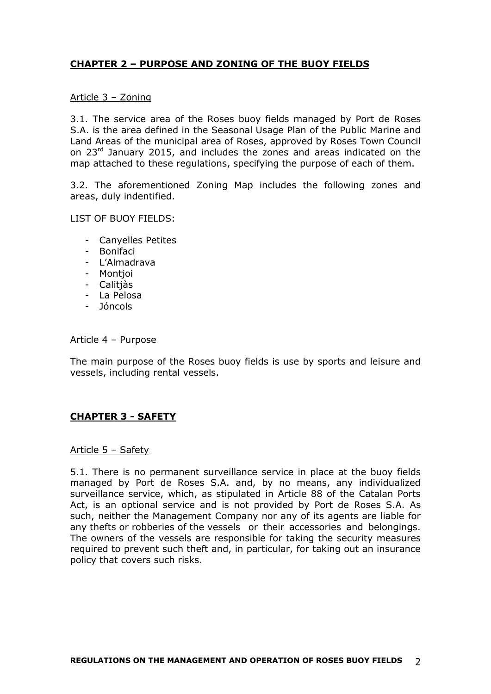# **CHAPTER 2 – PURPOSE AND ZONING OF THE BUOY FIELDS**

## Article 3 – Zoning

3.1. The service area of the Roses buoy fields managed by Port de Roses S.A. is the area defined in the Seasonal Usage Plan of the Public Marine and Land Areas of the municipal area of Roses, approved by Roses Town Council on 23<sup>rd</sup> January 2015, and includes the zones and areas indicated on the map attached to these regulations, specifying the purpose of each of them.

3.2. The aforementioned Zoning Map includes the following zones and areas, duly indentified.

LIST OF BUOY FIELDS:

- Canyelles Petites
- Bonifaci
- L'Almadrava
- Montjoi
- Calitjàs
- La Pelosa
- Jóncols

### Article 4 – Purpose

The main purpose of the Roses buoy fields is use by sports and leisure and vessels, including rental vessels.

# **CHAPTER 3 - SAFETY**

### Article 5 – Safety

5.1. There is no permanent surveillance service in place at the buoy fields managed by Port de Roses S.A. and, by no means, any individualized surveillance service, which, as stipulated in Article 88 of the Catalan Ports Act, is an optional service and is not provided by Port de Roses S.A. As such, neither the Management Company nor any of its agents are liable for any thefts or robberies of the vessels or their accessories and belongings. The owners of the vessels are responsible for taking the security measures required to prevent such theft and, in particular, for taking out an insurance policy that covers such risks.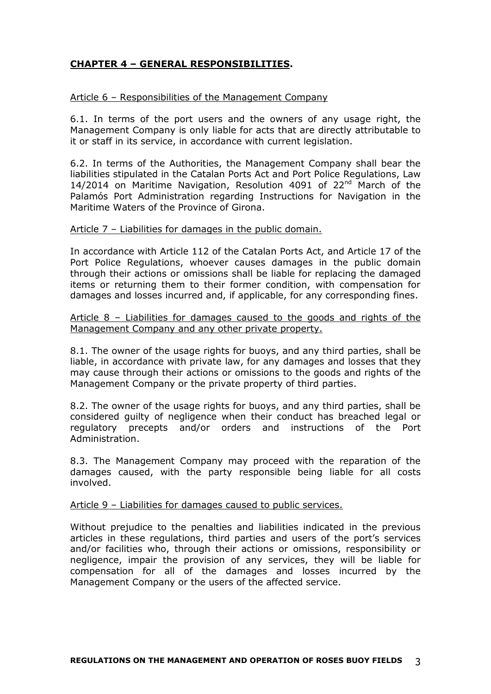# **CHAPTER 4 – GENERAL RESPONSIBILITIES.**

## Article 6 – Responsibilities of the Management Company

6.1. In terms of the port users and the owners of any usage right, the Management Company is only liable for acts that are directly attributable to it or staff in its service, in accordance with current legislation.

6.2. In terms of the Authorities, the Management Company shall bear the liabilities stipulated in the Catalan Ports Act and Port Police Regulations, Law 14/2014 on Maritime Navigation, Resolution 4091 of 22<sup>nd</sup> March of the Palamós Port Administration regarding Instructions for Navigation in the Maritime Waters of the Province of Girona.

## Article 7 – Liabilities for damages in the public domain.

In accordance with Article 112 of the Catalan Ports Act, and Article 17 of the Port Police Regulations, whoever causes damages in the public domain through their actions or omissions shall be liable for replacing the damaged items or returning them to their former condition, with compensation for damages and losses incurred and, if applicable, for any corresponding fines.

Article 8 – Liabilities for damages caused to the goods and rights of the Management Company and any other private property.

8.1. The owner of the usage rights for buoys, and any third parties, shall be liable, in accordance with private law, for any damages and losses that they may cause through their actions or omissions to the goods and rights of the Management Company or the private property of third parties.

8.2. The owner of the usage rights for buoys, and any third parties, shall be considered guilty of negligence when their conduct has breached legal or regulatory precepts and/or orders and instructions of the Port Administration.

8.3. The Management Company may proceed with the reparation of the damages caused, with the party responsible being liable for all costs involved.

### Article 9 – Liabilities for damages caused to public services.

Without prejudice to the penalties and liabilities indicated in the previous articles in these regulations, third parties and users of the port's services and/or facilities who, through their actions or omissions, responsibility or negligence, impair the provision of any services, they will be liable for compensation for all of the damages and losses incurred by the Management Company or the users of the affected service.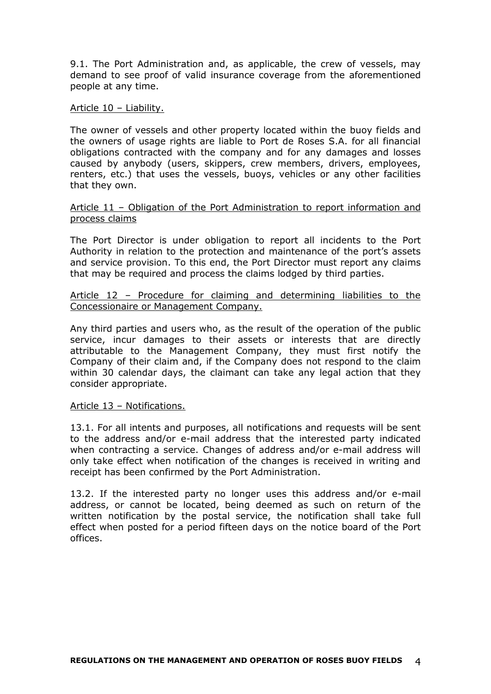9.1. The Port Administration and, as applicable, the crew of vessels, may demand to see proof of valid insurance coverage from the aforementioned people at any time.

Article 10 – Liability.

The owner of vessels and other property located within the buoy fields and the owners of usage rights are liable to Port de Roses S.A. for all financial obligations contracted with the company and for any damages and losses caused by anybody (users, skippers, crew members, drivers, employees, renters, etc.) that uses the vessels, buoys, vehicles or any other facilities that they own.

## Article 11 – Obligation of the Port Administration to report information and process claims

The Port Director is under obligation to report all incidents to the Port Authority in relation to the protection and maintenance of the port's assets and service provision. To this end, the Port Director must report any claims that may be required and process the claims lodged by third parties.

Article 12 – Procedure for claiming and determining liabilities to the Concessionaire or Management Company.

Any third parties and users who, as the result of the operation of the public service, incur damages to their assets or interests that are directly attributable to the Management Company, they must first notify the Company of their claim and, if the Company does not respond to the claim within 30 calendar days, the claimant can take any legal action that they consider appropriate.

## Article 13 – Notifications.

13.1. For all intents and purposes, all notifications and requests will be sent to the address and/or e-mail address that the interested party indicated when contracting a service. Changes of address and/or e-mail address will only take effect when notification of the changes is received in writing and receipt has been confirmed by the Port Administration.

13.2. If the interested party no longer uses this address and/or e-mail address, or cannot be located, being deemed as such on return of the written notification by the postal service, the notification shall take full effect when posted for a period fifteen days on the notice board of the Port offices.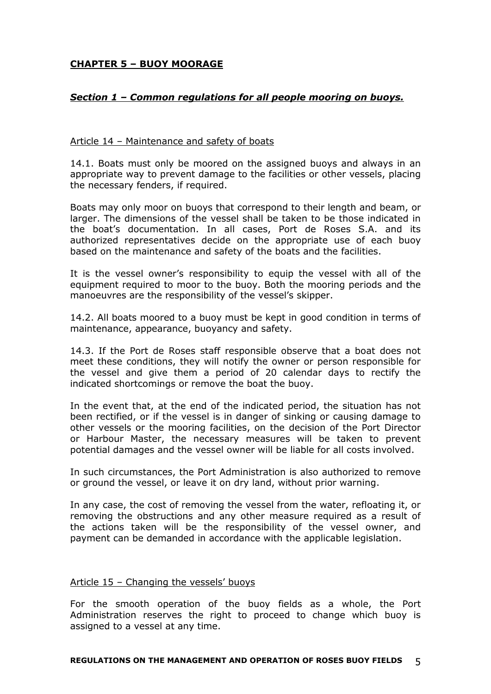# **CHAPTER 5 – BUOY MOORAGE**

# *Section 1 – Common regulations for all people mooring on buoys.*

## Article 14 – Maintenance and safety of boats

14.1. Boats must only be moored on the assigned buoys and always in an appropriate way to prevent damage to the facilities or other vessels, placing the necessary fenders, if required.

Boats may only moor on buoys that correspond to their length and beam, or larger. The dimensions of the vessel shall be taken to be those indicated in the boat's documentation. In all cases, Port de Roses S.A. and its authorized representatives decide on the appropriate use of each buoy based on the maintenance and safety of the boats and the facilities.

It is the vessel owner's responsibility to equip the vessel with all of the equipment required to moor to the buoy. Both the mooring periods and the manoeuvres are the responsibility of the vessel's skipper.

14.2. All boats moored to a buoy must be kept in good condition in terms of maintenance, appearance, buoyancy and safety.

14.3. If the Port de Roses staff responsible observe that a boat does not meet these conditions, they will notify the owner or person responsible for the vessel and give them a period of 20 calendar days to rectify the indicated shortcomings or remove the boat the buoy.

In the event that, at the end of the indicated period, the situation has not been rectified, or if the vessel is in danger of sinking or causing damage to other vessels or the mooring facilities, on the decision of the Port Director or Harbour Master, the necessary measures will be taken to prevent potential damages and the vessel owner will be liable for all costs involved.

In such circumstances, the Port Administration is also authorized to remove or ground the vessel, or leave it on dry land, without prior warning.

In any case, the cost of removing the vessel from the water, refloating it, or removing the obstructions and any other measure required as a result of the actions taken will be the responsibility of the vessel owner, and payment can be demanded in accordance with the applicable legislation.

## Article 15 – Changing the vessels' buoys

For the smooth operation of the buoy fields as a whole, the Port Administration reserves the right to proceed to change which buoy is assigned to a vessel at any time.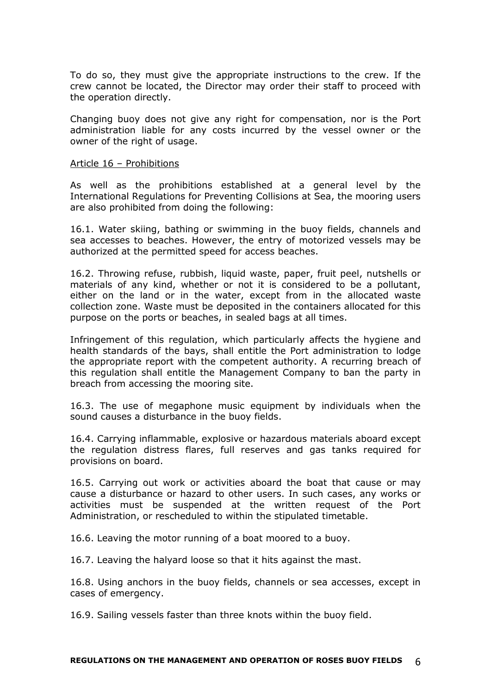To do so, they must give the appropriate instructions to the crew. If the crew cannot be located, the Director may order their staff to proceed with the operation directly.

Changing buoy does not give any right for compensation, nor is the Port administration liable for any costs incurred by the vessel owner or the owner of the right of usage.

### Article 16 – Prohibitions

As well as the prohibitions established at a general level by the International Regulations for Preventing Collisions at Sea, the mooring users are also prohibited from doing the following:

16.1. Water skiing, bathing or swimming in the buoy fields, channels and sea accesses to beaches. However, the entry of motorized vessels may be authorized at the permitted speed for access beaches.

16.2. Throwing refuse, rubbish, liquid waste, paper, fruit peel, nutshells or materials of any kind, whether or not it is considered to be a pollutant, either on the land or in the water, except from in the allocated waste collection zone. Waste must be deposited in the containers allocated for this purpose on the ports or beaches, in sealed bags at all times.

Infringement of this regulation, which particularly affects the hygiene and health standards of the bays, shall entitle the Port administration to lodge the appropriate report with the competent authority. A recurring breach of this regulation shall entitle the Management Company to ban the party in breach from accessing the mooring site.

16.3. The use of megaphone music equipment by individuals when the sound causes a disturbance in the buoy fields.

16.4. Carrying inflammable, explosive or hazardous materials aboard except the regulation distress flares, full reserves and gas tanks required for provisions on board.

16.5. Carrying out work or activities aboard the boat that cause or may cause a disturbance or hazard to other users. In such cases, any works or activities must be suspended at the written request of the Port Administration, or rescheduled to within the stipulated timetable.

16.6. Leaving the motor running of a boat moored to a buoy.

16.7. Leaving the halyard loose so that it hits against the mast.

16.8. Using anchors in the buoy fields, channels or sea accesses, except in cases of emergency.

16.9. Sailing vessels faster than three knots within the buoy field.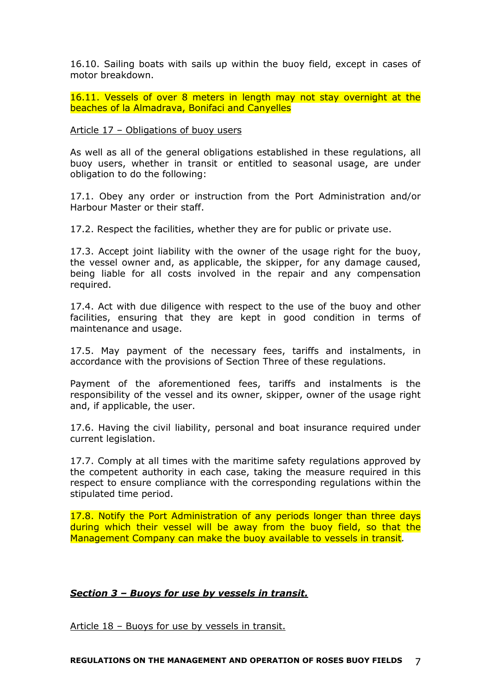16.10. Sailing boats with sails up within the buoy field, except in cases of motor breakdown.

16.11. Vessels of over 8 meters in length may not stay overnight at the beaches of la Almadrava, Bonifaci and Canyelles

### Article 17 – Obligations of buoy users

As well as all of the general obligations established in these regulations, all buoy users, whether in transit or entitled to seasonal usage, are under obligation to do the following:

17.1. Obey any order or instruction from the Port Administration and/or Harbour Master or their staff.

17.2. Respect the facilities, whether they are for public or private use.

17.3. Accept joint liability with the owner of the usage right for the buoy, the vessel owner and, as applicable, the skipper, for any damage caused, being liable for all costs involved in the repair and any compensation required.

17.4. Act with due diligence with respect to the use of the buoy and other facilities, ensuring that they are kept in good condition in terms of maintenance and usage.

17.5. May payment of the necessary fees, tariffs and instalments, in accordance with the provisions of Section Three of these regulations.

Payment of the aforementioned fees, tariffs and instalments is the responsibility of the vessel and its owner, skipper, owner of the usage right and, if applicable, the user.

17.6. Having the civil liability, personal and boat insurance required under current legislation.

17.7. Comply at all times with the maritime safety regulations approved by the competent authority in each case, taking the measure required in this respect to ensure compliance with the corresponding regulations within the stipulated time period.

17.8. Notify the Port Administration of any periods longer than three days during which their vessel will be away from the buoy field, so that the Management Company can make the buoy available to vessels in transit*.*

# *Section 3 – Buoys for use by vessels in transit.*

Article 18 – Buoys for use by vessels in transit.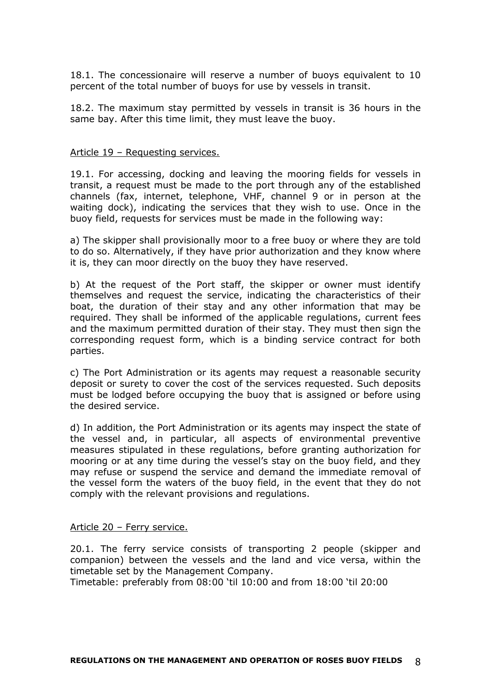18.1. The concessionaire will reserve a number of buoys equivalent to 10 percent of the total number of buoys for use by vessels in transit.

18.2. The maximum stay permitted by vessels in transit is 36 hours in the same bay. After this time limit, they must leave the buoy.

### Article 19 – Requesting services.

19.1. For accessing, docking and leaving the mooring fields for vessels in transit, a request must be made to the port through any of the established channels (fax, internet, telephone, VHF, channel 9 or in person at the waiting dock), indicating the services that they wish to use. Once in the buoy field, requests for services must be made in the following way:

a) The skipper shall provisionally moor to a free buoy or where they are told to do so. Alternatively, if they have prior authorization and they know where it is, they can moor directly on the buoy they have reserved.

b) At the request of the Port staff, the skipper or owner must identify themselves and request the service, indicating the characteristics of their boat, the duration of their stay and any other information that may be required. They shall be informed of the applicable regulations, current fees and the maximum permitted duration of their stay. They must then sign the corresponding request form, which is a binding service contract for both parties.

c) The Port Administration or its agents may request a reasonable security deposit or surety to cover the cost of the services requested. Such deposits must be lodged before occupying the buoy that is assigned or before using the desired service.

d) In addition, the Port Administration or its agents may inspect the state of the vessel and, in particular, all aspects of environmental preventive measures stipulated in these regulations, before granting authorization for mooring or at any time during the vessel's stay on the buoy field, and they may refuse or suspend the service and demand the immediate removal of the vessel form the waters of the buoy field, in the event that they do not comply with the relevant provisions and regulations.

## Article 20 – Ferry service.

20.1. The ferry service consists of transporting 2 people (skipper and companion) between the vessels and the land and vice versa, within the timetable set by the Management Company.

Timetable: preferably from 08:00 'til 10:00 and from 18:00 'til 20:00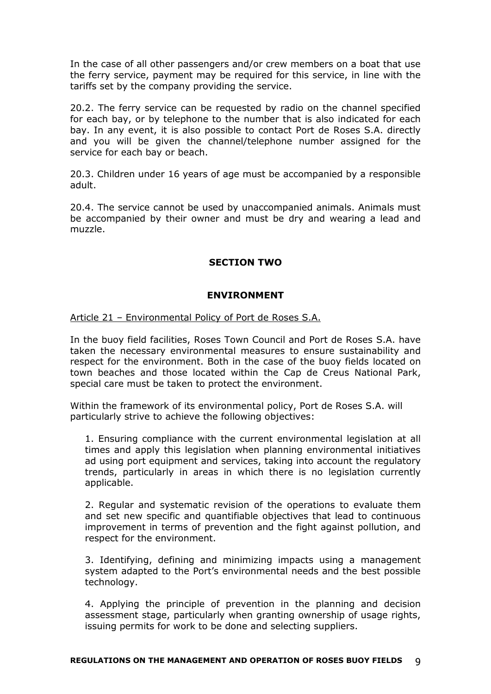In the case of all other passengers and/or crew members on a boat that use the ferry service, payment may be required for this service, in line with the tariffs set by the company providing the service.

20.2. The ferry service can be requested by radio on the channel specified for each bay, or by telephone to the number that is also indicated for each bay. In any event, it is also possible to contact Port de Roses S.A. directly and you will be given the channel/telephone number assigned for the service for each bay or beach.

20.3. Children under 16 years of age must be accompanied by a responsible adult.

20.4. The service cannot be used by unaccompanied animals. Animals must be accompanied by their owner and must be dry and wearing a lead and muzzle.

# **SECTION TWO**

# **ENVIRONMENT**

Article 21 – Environmental Policy of Port de Roses S.A.

In the buoy field facilities, Roses Town Council and Port de Roses S.A. have taken the necessary environmental measures to ensure sustainability and respect for the environment. Both in the case of the buoy fields located on town beaches and those located within the Cap de Creus National Park, special care must be taken to protect the environment.

Within the framework of its environmental policy, Port de Roses S.A. will particularly strive to achieve the following objectives:

1. Ensuring compliance with the current environmental legislation at all times and apply this legislation when planning environmental initiatives ad using port equipment and services, taking into account the regulatory trends, particularly in areas in which there is no legislation currently applicable.

2. Regular and systematic revision of the operations to evaluate them and set new specific and quantifiable objectives that lead to continuous improvement in terms of prevention and the fight against pollution, and respect for the environment.

3. Identifying, defining and minimizing impacts using a management system adapted to the Port's environmental needs and the best possible technology.

4. Applying the principle of prevention in the planning and decision assessment stage, particularly when granting ownership of usage rights, issuing permits for work to be done and selecting suppliers.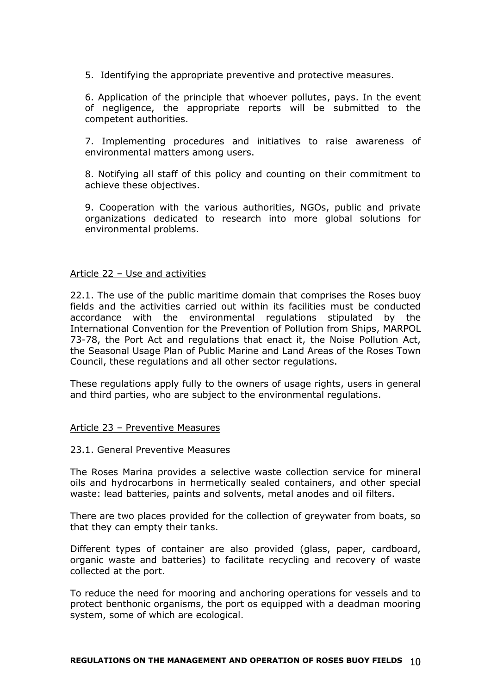5. Identifying the appropriate preventive and protective measures.

6. Application of the principle that whoever pollutes, pays. In the event of negligence, the appropriate reports will be submitted to the competent authorities.

7. Implementing procedures and initiatives to raise awareness of environmental matters among users.

8. Notifying all staff of this policy and counting on their commitment to achieve these objectives.

9. Cooperation with the various authorities, NGOs, public and private organizations dedicated to research into more global solutions for environmental problems.

### Article 22 – Use and activities

22.1. The use of the public maritime domain that comprises the Roses buoy fields and the activities carried out within its facilities must be conducted accordance with the environmental regulations stipulated by the International Convention for the Prevention of Pollution from Ships, MARPOL 73-78, the Port Act and regulations that enact it, the Noise Pollution Act, the Seasonal Usage Plan of Public Marine and Land Areas of the Roses Town Council, these regulations and all other sector regulations.

These regulations apply fully to the owners of usage rights, users in general and third parties, who are subject to the environmental regulations.

### Article 23 – Preventive Measures

### 23.1. General Preventive Measures

The Roses Marina provides a selective waste collection service for mineral oils and hydrocarbons in hermetically sealed containers, and other special waste: lead batteries, paints and solvents, metal anodes and oil filters.

There are two places provided for the collection of greywater from boats, so that they can empty their tanks.

Different types of container are also provided (glass, paper, cardboard, organic waste and batteries) to facilitate recycling and recovery of waste collected at the port.

To reduce the need for mooring and anchoring operations for vessels and to protect benthonic organisms, the port os equipped with a deadman mooring system, some of which are ecological.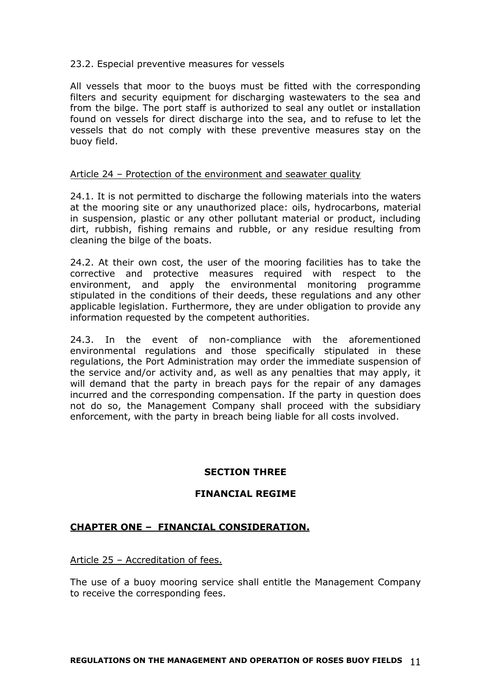## 23.2. Especial preventive measures for vessels

All vessels that moor to the buoys must be fitted with the corresponding filters and security equipment for discharging wastewaters to the sea and from the bilge. The port staff is authorized to seal any outlet or installation found on vessels for direct discharge into the sea, and to refuse to let the vessels that do not comply with these preventive measures stay on the buoy field.

### Article 24 – Protection of the environment and seawater quality

24.1. It is not permitted to discharge the following materials into the waters at the mooring site or any unauthorized place: oils, hydrocarbons, material in suspension, plastic or any other pollutant material or product, including dirt, rubbish, fishing remains and rubble, or any residue resulting from cleaning the bilge of the boats.

24.2. At their own cost, the user of the mooring facilities has to take the corrective and protective measures required with respect to the environment, and apply the environmental monitoring programme stipulated in the conditions of their deeds, these regulations and any other applicable legislation. Furthermore, they are under obligation to provide any information requested by the competent authorities.

24.3. In the event of non-compliance with the aforementioned environmental regulations and those specifically stipulated in these regulations, the Port Administration may order the immediate suspension of the service and/or activity and, as well as any penalties that may apply, it will demand that the party in breach pays for the repair of any damages incurred and the corresponding compensation. If the party in question does not do so, the Management Company shall proceed with the subsidiary enforcement, with the party in breach being liable for all costs involved.

## **SECTION THREE**

## **FINANCIAL REGIME**

# **CHAPTER ONE – FINANCIAL CONSIDERATION.**

Article 25 – Accreditation of fees.

The use of a buoy mooring service shall entitle the Management Company to receive the corresponding fees.